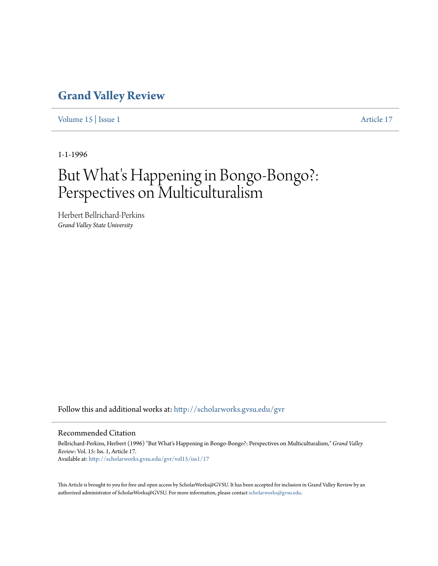### **[Grand Valley Review](http://scholarworks.gvsu.edu/gvr?utm_source=scholarworks.gvsu.edu%2Fgvr%2Fvol15%2Fiss1%2F17&utm_medium=PDF&utm_campaign=PDFCoverPages)**

[Volume 15](http://scholarworks.gvsu.edu/gvr/vol15?utm_source=scholarworks.gvsu.edu%2Fgvr%2Fvol15%2Fiss1%2F17&utm_medium=PDF&utm_campaign=PDFCoverPages) | [Issue 1](http://scholarworks.gvsu.edu/gvr/vol15/iss1?utm_source=scholarworks.gvsu.edu%2Fgvr%2Fvol15%2Fiss1%2F17&utm_medium=PDF&utm_campaign=PDFCoverPages) [Article 17](http://scholarworks.gvsu.edu/gvr/vol15/iss1/17?utm_source=scholarworks.gvsu.edu%2Fgvr%2Fvol15%2Fiss1%2F17&utm_medium=PDF&utm_campaign=PDFCoverPages)

1-1-1996

# But What's Happening in Bongo-Bongo?: Perspectives on Multiculturalism

Herbert Bellrichard-Perkins *Grand Valley State University*

Follow this and additional works at: [http://scholarworks.gvsu.edu/gvr](http://scholarworks.gvsu.edu/gvr?utm_source=scholarworks.gvsu.edu%2Fgvr%2Fvol15%2Fiss1%2F17&utm_medium=PDF&utm_campaign=PDFCoverPages)

#### Recommended Citation

Bellrichard-Perkins, Herbert (1996) "But What's Happening in Bongo-Bongo?: Perspectives on Multiculturalism," *Grand Valley Review*: Vol. 15: Iss. 1, Article 17. Available at: [http://scholarworks.gvsu.edu/gvr/vol15/iss1/17](http://scholarworks.gvsu.edu/gvr/vol15/iss1/17?utm_source=scholarworks.gvsu.edu%2Fgvr%2Fvol15%2Fiss1%2F17&utm_medium=PDF&utm_campaign=PDFCoverPages)

This Article is brought to you for free and open access by ScholarWorks@GVSU. It has been accepted for inclusion in Grand Valley Review by an authorized administrator of ScholarWorks@GVSU. For more information, please contact [scholarworks@gvsu.edu.](mailto:scholarworks@gvsu.edu)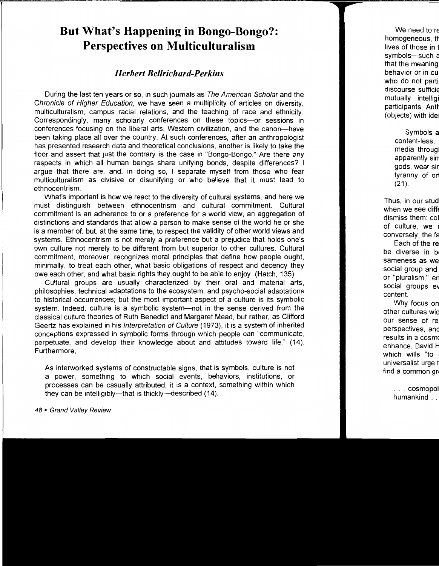## **But What's Happening in Bongo-Bongo?: Perspectives on Multiculturalism**

### *Herbert Bel/richard-Perkins*

During the last ten years or so, in such journals as The American Scholar and the Chronicle of Higher Education, we have seen a multiplicity of articles on diversity, multiculturalism, campus racial relations, and the teaching of race and ethnicity. Correspondingly, many scholarly conferences on these topics-or sessions in conferences focusing on the liberal arts, Western civilization, and the canon-have been taking place all over the country. At such conferences, after an anthropologist has presented research data and theoretical conclusions, another is likely to take the floor and assert that just the contrary is the case in "Bongo-Bongo." Are there any respects in which all human beings share unifying bonds, despite differences? I argue that there are, and, in doing so, I separate myself from those who fear multiculturalism as divisive or disunifying or who believe that it must lead to ethnocentrism.

What's important is how we react to the diversity of cultural systems, and here we must distinguish between ethnocentrism and cultural commitment. Cultural commitment is an adherence to or a preference for a world view, an aggregation of distinctions and standards that allow a person to make sense of the world he or she is a member of, but, at the same time, to respect the validity of other world views and systems. Ethnocentrism is not merely a preference but a prejudice that holds one's own culture not merely to be different from but superior to other cultures. Cultural commitment, moreover, recognizes moral principles that define how people ought, minimally, to treat each other, what basic obligations of respect and decency they owe each other, and what basic rights they ought to be able to enjoy. (Hatch, 135)

Cultural groups are usually characterized by their oral and material arts, philosophies, technical adaptations to the ecosystem, and psycho-social adaptations to historical occurrences; but the most important aspect of a culture is its symbolic system. Indeed, culture is a symbolic system-not in the sense derived from the classical culture theories of Ruth Benedict and Margaret Mead, but rather, as Clifford Geertz has explained in his Interpretation of Culture (1973), it is a system of inherited conceptions expressed in symbolic forms through which people can "communicate, perpetuate, and develop their knowledge about and attitudes toward life." (14). Furthermore,

As interworked systems of constructable signs, that is symbols, culture is not a power, something to which social events, behaviors, institutions, or processes can be casually attributed; it is a context, something within which they can be intelligibly-that is thickly-described (14).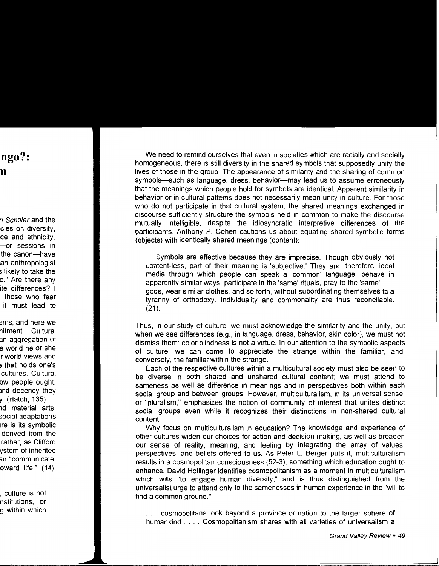We need to remind ourselves that even in societies which are racially and socially homogeneous, there is still diversity in the shared symbols that supposedly unify the lives of those in the group. The appearance of similarity and the sharing of common symbols-such as language, dress, behavior-may lead us to assume erroneously that the meanings which people hold for symbols are identical. Apparent similarity in behavior or in cultural patterns does not necessarily mean unity in culture. For those who do not participate in that cultural system, the shared meanings exchanged in discourse sufficiently structure the symbols held in common to make the discourse mutually intelligible, despite the idiosyncratic interpretive differences of the participants. Anthony P. Cohen cautions us about equating shared symbolic forms (objects) with identically shared meanings (content):

Symbols are effective because they are imprecise. Though obviously not content-less, part of their meaning is 'subjective.' They are, therefore, ideal media through which people can speak a 'common' language, behave in apparently similar ways, participate in the 'same' rituals, pray to the 'same' gods, wear similar clothes, and so forth, without subordinating themselves to a tyranny of orthodoxy. Individuality and commonality are thus reconcilable.  $(21)$ .

Thus, in our study of culture, we must acknowledge the similarity and the unity, but when we see differences (e.g., in language, dress, behavior, skin color), *we* must not dismiss them: color blindness is not a virtue. In our attention to the symbolic aspects of culture, we can come to appreciate the strange within the familiar, and, conversely, the familiar within the strange.

Each of the respective cultures within a multicultural society must also be seen to be diverse in both shared and unshared cultural content; we must attend to sameness as well as difference in meanings and in perspectives both within each social group and between groups. However, multiculturalism, in its universal sense, or "pluralism," emphasizes the notion of community of interest that unites distinct social groups even while it recognizes their distinctions in non-shared cultural content.

Why focus on multiculturalism in education? The knowledge and experience of other cultures widen our choices for action and decision making, as well as broaden our sense of reality, meaning, and feeling by integrating the array of values, perspectives, and beliefs offered to us. As Peter L. Berger puts it, multiculturalism results in a cosmopolitan consciousness (52-3), something which education ought to enhance. David Hollinger identifies cosmopolitanism as a moment in multiculturalism which wills "to engage human diversity," and is thus distinguished from the universalist urge to attend only to the samenesses in human experience in the "will to find a common ground.''

. . . cosmopolitans look beyond a province or nation to the larger sphere of humankind .... Cosmopolitanism shares with all varieties of universalism a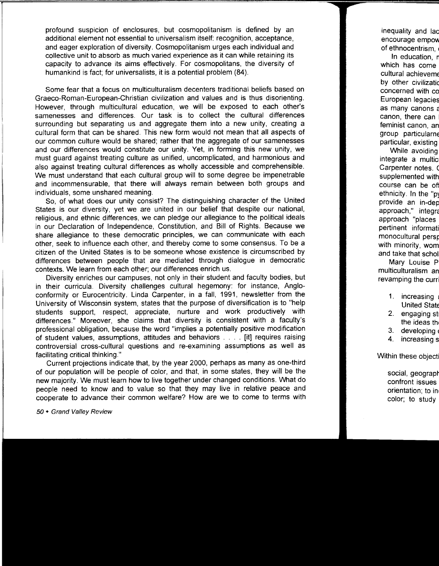profound suspicion of enclosures, but cosmopolitanism is defined by an additional element not essential to universalism itself: recognition, acceptance, and eager exploration of diversity. Cosmopolitanism urges each individual and collective unit to absorb as much varied experience as it can while retaining its capacity to advance its aims effectively. For cosmopolitans, the diversity of humankind is fact; for universalists, it is a potential problem (84).

Some fear that a focus on multiculturalism decenters traditional beliefs based on Graeco-Roman-European-Christian civilization and values and is thus disorienting. However, through multicultural education, we will be exposed to each other's samenesses and differences. Our task is to collect the cultural differences surrounding but separating us and aggregate them into a new unity, creating a cultural form that can be shared. This new form would not mean that all aspects of our common culture would be shared; rather that the aggregate of our samenesses and our differences would constitute our unity. Yet, in forming this new unity, we must guard against treating culture as unified, uncomplicated, and harmonious and also against treating cultural differences as wholly accessible and comprehensible. We must understand that each cultural group will to some degree be impenetrable and incommensurable, that there will always remain between both groups and individuals, some unshared meaning.

So, of what does our unity consist? The distinguishing character of the United States is our diversity, yet we are united in our belief that despite our national, religious, and ethnic differences, we can pledge our allegiance to the political ideals in our Declaration of Independence, Constitution, and Bill of Rights. Because we share allegiance to these democratic principles, we can communicate with each other, seek to influence each other, and thereby come to some consensus. To be a citizen of the United States is to be someone whose existence is circumscribed by differences between people that are mediated through dialogue in democratic contexts. We learn from each other; our differences enrich us.

Diversity enriches our campuses, not only in their student and faculty bodies, but in their curricula. Diversity challenges cultural hegemony: for instance, Angloconformity or Eurocentricity. Linda Carpenter, in a fall, 1991, newsletter from the University of Wisconsin system, states that the purpose of diversification is to "help students support, respect, appreciate, nurture and work productively with differences." Moreover, she claims that diversity is consistent with a faculty's professional obligation, because the word "implies a potentially positive modification of student values, assumptions, attitudes and behaviors . . . . [it] requires raising controversial cross-cultural questions and re-examining assumptions as well as facilitating critical thinking."

Current projections indicate that, by the year 2000, perhaps as many as one-third of our population will be people of color, and that, in some states, they will be the new majority. We must learn how to live together under changed conditions. What do people need to know and to value so that they may live in relative peace and cooperate to advance their common welfare? How are we to come to terms with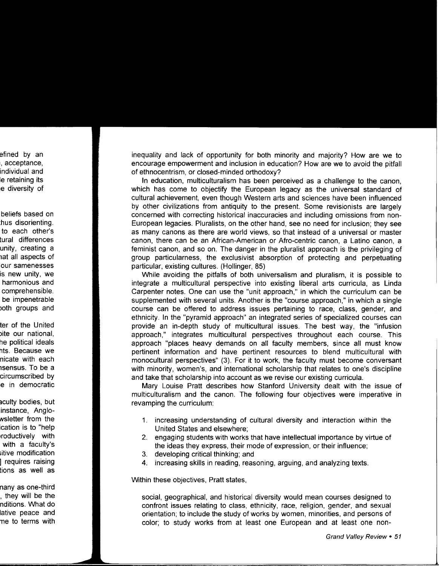inequality and lack of opportunity for both minority and majority? How are we to encourage empowerment and inclusion in education? How are we to avoid the pitfall of ethnocentrism, or closed-minded orthodoxy?

In education, multiculturalism has been perceived as a challenge to the canon, which has come to objectify the European legacy as the universal standard of cultural achievement, even though Western arts and sciences have been influenced by other civilizations from antiquity to the present. Some revisionists are largely concerned with correcting historical inaccuracies and including omissions from non-European legacies. Pluralists, on the other hand, see no need for inclusion; they see as many canons as there are world views, so that instead of a universal or master canon, there can be an African-American or Afro-centric canon, a Latino canon, a feminist canon, and so on. The danger in the pluralist approach is the privileging of group particularness, the exclusivist absorption of protecting and perpetuating particular, existing cultures. (Hollinger, 85)

While avoiding the pitfalls of both universalism and pluralism, it is possible to integrate a multicultural perspective into existing liberal arts curricula, as Linda Carpenter notes. One can use the "unit approach," in which the curriculum can be supplemented with several units. Another is the "course approach," in which a single course can be offered to address issues pertaining to race, class, gender, and ethnicity. In the "pyramid approach" an integrated' series of specialized courses can provide an in-depth study of multicultural issues. The best way, the "infusion approach," integrates multicultural perspectives throughout each course. This approach "places heavy demands on all faculty members, since all must know pertinent information and have pertinent resources to blend multicultural with monocultural perspectives" (3). For it to work, the faculty must become conversant with minority, women's, and international scholarship that relates to one's discipline and take that scholarship into account as we revise our existing curricula.

Mary Louise Pratt describes how Stanford University dealt with the issue of multiculturalism and the canon. The following four objectives were imperative in revamping the curriculum:

- 1. increasing understanding of cultural diversity and interaction within the United States and elsewhere;
- 2. engaging students with works that have intellectual importance by virtue of the ideas they express, their mode of expression, or their influence;
- 3. developing critical thinking; and
- 4. increasing skills in reading, reasoning, arguing, and analyzing texts.

Within these objectives, Pratt states,

social, geographical, and historical diversity would mean courses designed to confront issues relating to class, ethnicity, race, religion, gender, and sexual orientation; to include the study of works by women, minorities, and persons of color; to study works from at least one European and at least one non